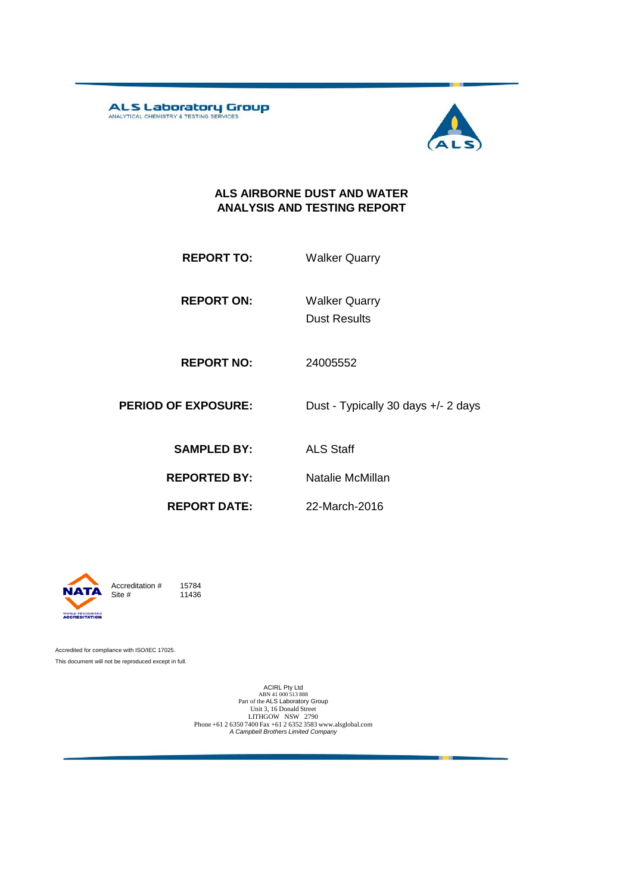ALS Laboratory Group



#### **ALS AIRBORNE DUST AND WATER ANALYSIS AND TESTING REPORT**

| <b>REPORT TO:</b> | <b>Walker Quarry</b> |
|-------------------|----------------------|
|                   |                      |

**REPORT ON:**

Dust Results Walker Quarry

22-March-2016

**REPORT NO:** 24005552

**PERIOD OF EXPOSURE:** Dust - Typically 30 days +/- 2 days

**SAMPLED BY:** ALS Staff

**REPORTED BY:** Natalie McMillan

**REPORT DATE:**

Accreditation  $#$  15784<br>Site  $#$  11436 11436

Accredited for compliance with ISO/IEC 17025. This document will not be reproduced except in full.

> ACIRL Pty Ltd<br>ABN 41 000 513 888<br>Part of the ALS Laboratory Group Unit 3, 16 Donald Street LITHGOW NSW 2790 Phone +61 2 6350 7400 Fax +61 2 6352 3583 www.alsglobal.com *A Campbell Brothers Limited Company*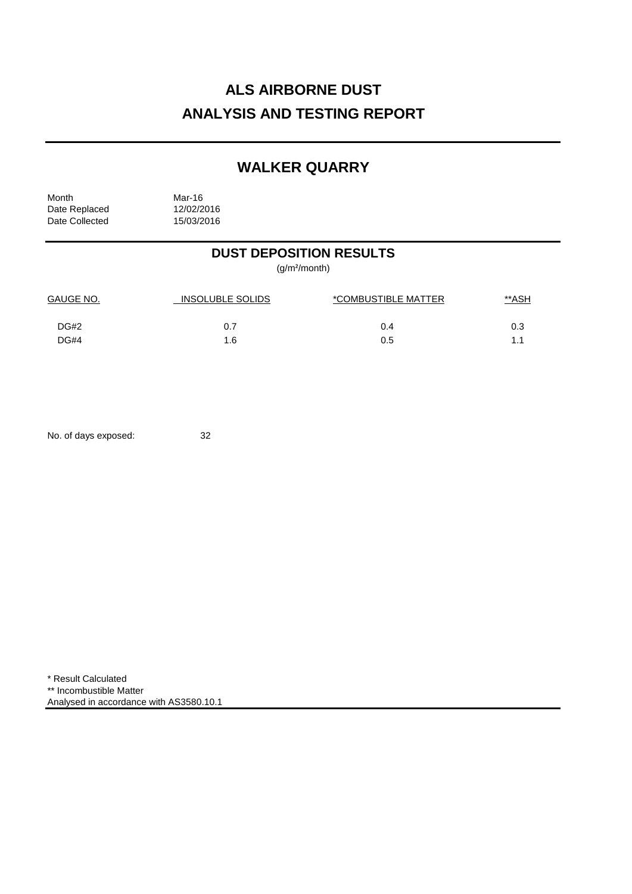# **ALS AIRBORNE DUST ANALYSIS AND TESTING REPORT**

## **WALKER QUARRY**

Month<br>Date Replaced 12/02/2016 Date Replaced 12/02/2016<br>Date Collected 15/03/2016 Date Collected

### **DUST DEPOSITION RESULTS**

(g/m²/month)

| <b>GAUGE NO.</b> | <b>INSOLUBLE SOLIDS</b> | *COMBUSTIBLE MATTER | <u>**ASH</u> |  |
|------------------|-------------------------|---------------------|--------------|--|
| DG#2             | 0.7                     | 0.4                 | 0.3          |  |
| DG#4             | 1.6                     | 0.5                 | 11           |  |

No. of days exposed: 32

\* Result Calculated \*\* Incombustible Matter Analysed in accordance with AS3580.10.1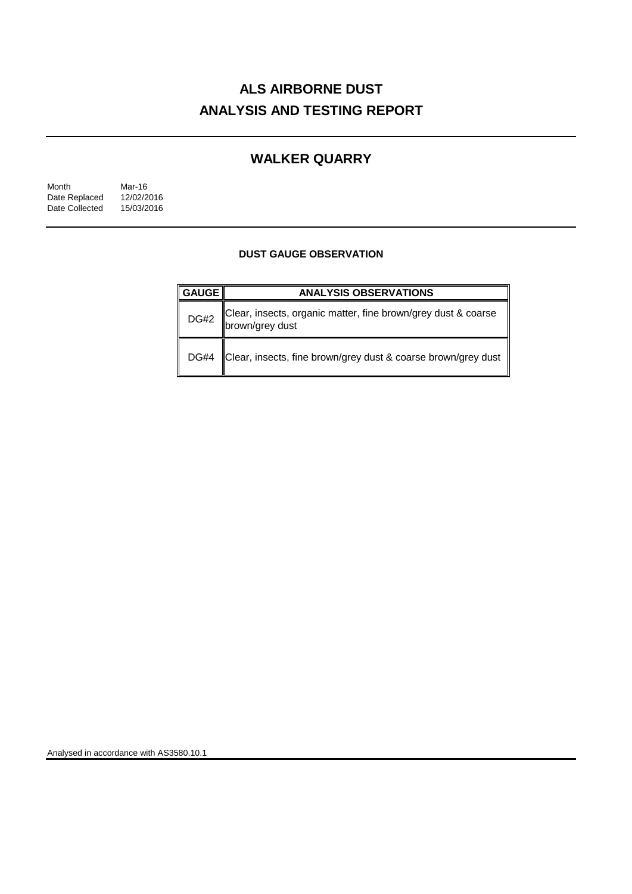# **ALS AIRBORNE DUST ANALYSIS AND TESTING REPORT**

### **WALKER QUARRY**

| Month          | Mar-16     |
|----------------|------------|
| Date Replaced  | 12/02/2016 |
| Date Collected | 15/03/2016 |

#### **DUST GAUGE OBSERVATION**

| <b>GAUGE</b> | <b>ANALYSIS OBSERVATIONS</b>                                                     |  |
|--------------|----------------------------------------------------------------------------------|--|
| <b>DG#2</b>  | Clear, insects, organic matter, fine brown/grey dust & coarse<br>brown/grey dust |  |
| <b>DG#4</b>  | Clear, insects, fine brown/grey dust & coarse brown/grey dust                    |  |

Analysed in accordance with AS3580.10.1